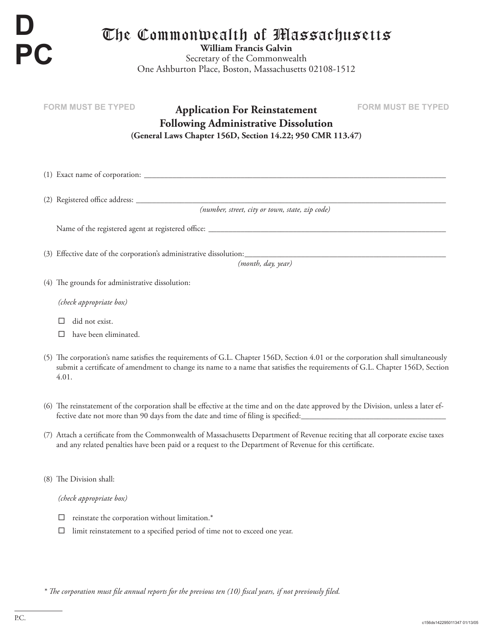**D PC**

## The Commonwealth of Massachusetts

**William Francis Galvin** Secretary of the Commonwealth One Ashburton Place, Boston, Massachusetts 02108-1512

| <b>FORM MUST BE TYPED</b><br><b>FORM MUST BE TYPED</b><br><b>Application For Reinstatement</b><br><b>Following Administrative Dissolution</b>                                                                                                                             |
|---------------------------------------------------------------------------------------------------------------------------------------------------------------------------------------------------------------------------------------------------------------------------|
| (General Laws Chapter 156D, Section 14.22; 950 CMR 113.47)                                                                                                                                                                                                                |
|                                                                                                                                                                                                                                                                           |
|                                                                                                                                                                                                                                                                           |
| (number, street, city or town, state, zip code)                                                                                                                                                                                                                           |
|                                                                                                                                                                                                                                                                           |
|                                                                                                                                                                                                                                                                           |
| (month, day, year)                                                                                                                                                                                                                                                        |
| (4) The grounds for administrative dissolution:                                                                                                                                                                                                                           |
| (check appropriate box)                                                                                                                                                                                                                                                   |
| did not exist.                                                                                                                                                                                                                                                            |
| have been eliminated.<br>П                                                                                                                                                                                                                                                |
| (5) The corporation's name satisfies the requirements of G.L. Chapter 156D, Section 4.01 or the corporation shall simultaneously<br>submit a certificate of amendment to change its name to a name that satisfies the requirements of G.L. Chapter 156D, Section<br>4.01. |
| (6) The reinstatement of the corporation shall be effective at the time and on the date approved by the Division, unless a later ef-<br>fective date not more than 90 days from the date and time of filing is specified:                                                 |

- (7) Attach a certificate from the Commonwealth of Massachusetts Department of Revenue reciting that all corporate excise taxes and any related penalties have been paid or a request to the Department of Revenue for this certificate.
- (8) The Division shall:

*(check appropriate box)*

- $\square$  reinstate the corporation without limitation.\*
- $\square$  limit reinstatement to a specified period of time not to exceed one year.

*\* The corporation must file annual reports for the previous ten (10) fiscal years, if not previously filed.*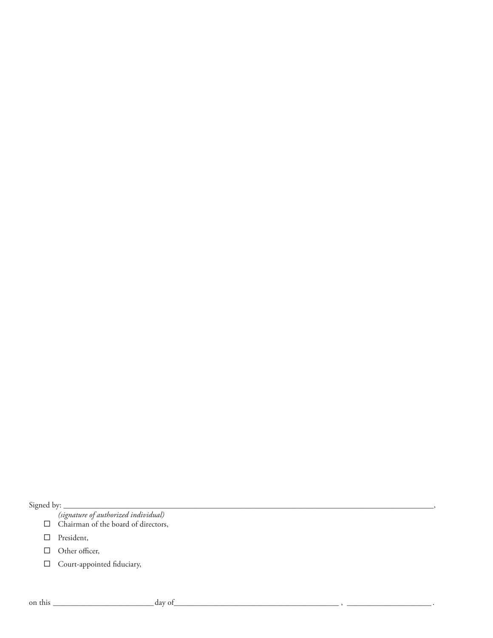Signed by: \_\_\_\_\_\_\_\_\_\_\_\_\_\_\_\_\_\_\_\_\_\_\_\_\_\_\_\_\_\_\_\_\_\_\_\_\_\_\_\_\_\_\_\_\_\_\_\_\_\_\_\_\_\_\_\_\_\_\_\_\_\_\_\_\_\_\_\_\_\_\_\_\_\_\_\_\_\_\_\_\_\_\_\_\_\_\_\_\_\_\_\_,

*(signature of authorized individual)*

- $\Box$  Chairman of the board of directors,
- D President,
- □ Other officer,
- $\Box$  Court-appointed fiduciary,